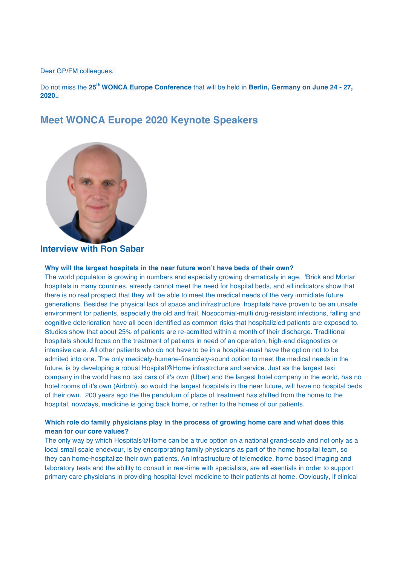Dear GP/FM colleagues,

Do not miss the **25th WONCA Europe Conference** that will be held in **Berlin, Germany on June 24 - 27, 2020..**

### **Meet WONCA Europe 2020 Keynote Speakers**



### **Interview with Ron Sabar**

#### **Why will the largest hospitals in the near future won't have beds of their own?**

The world populaton is growing in numbers and especially growing dramaticaly in age. 'Brick and Mortar' hospitals in many countries, already cannot meet the need for hospital beds, and all indicators show that there is no real prospect that they will be able to meet the medical needs of the very immidiate future generations. Besides the physical lack of space and infrastructure, hospitals have proven to be an unsafe environment for patients, especially the old and frail. Nosocomial-multi drug-resistant infections, falling and cognitive deterioration have all been identified as common risks that hospitalizied patients are exposed to. Studies show that about 25% of patients are re-admitted within a month of their discharge. Traditional hospitals should focus on the treatment of patients in need of an operation, high-end diagnostics or intensive care. All other patients who do not have to be in a hospital-must have the option not to be admited into one. The only medicaly-humane-financialy-sound option to meet the medical needs in the future, is by developing a robust Hospital@Home infrastrcture and service. Just as the largest taxi company in the world has no taxi cars of it's own (Uber) and the largest hotel company in the world, has no hotel rooms of it's own (Airbnb), so would the largest hospitals in the near future, will have no hospital beds of their own. 200 years ago the the pendulum of place of treatment has shifted from the home to the hospital, nowdays, medicine is going back home, or rather to the homes of our patients.

### **Which role do family physicians play in the process of growing home care and what does this mean for our core values?**

The only way by which Hospitals@Home can be a true option on a national grand-scale and not only as a local small scale endevour, is by encorporating family physicans as part of the home hospital team, so they can home-hospitalize their own patients. An infrastructure of telemedice, home based imaging and laboratory tests and the ability to consult in real-time with specialists, are all esentials in order to support primary care physicians in providing hospital-level medicine to their patients at home. Obviously, if clinical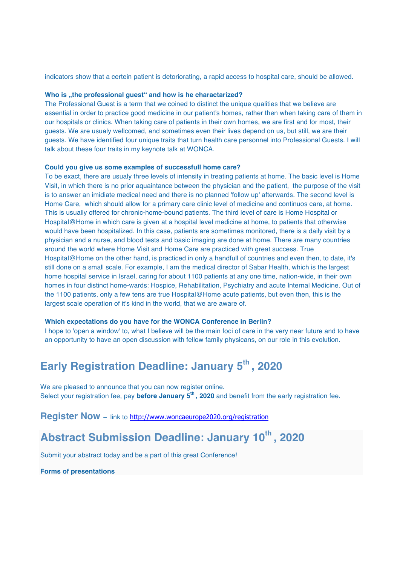indicators show that a certein patient is detoriorating, a rapid access to hospital care, should be allowed.

#### Who is "the professional guest" and how is he charactarized?

The Professional Guest is a term that we coined to distinct the unique qualities that we believe are essential in order to practice good medicine in our patient's homes, rather then when taking care of them in our hospitals or clinics. When taking care of patients in their own homes, we are first and for most, their guests. We are usualy wellcomed, and sometimes even their lives depend on us, but still, we are their guests. We have identified four unique traits that turn health care personnel into Professional Guests. I will talk about these four traits in my keynote talk at WONCA.

#### **Could you give us some examples of successfull home care?**

To be exact, there are usualy three levels of intensity in treating patients at home. The basic level is Home Visit, in which there is no prior aquaintance between the physician and the patient, the purpose of the visit is to answer an imidiate medical need and there is no planned 'follow up' afterwards. The second level is Home Care, which should allow for a primary care clinic level of medicine and continuos care, at home. This is usually offered for chronic-home-bound patients. The third level of care is Home Hospital or Hospital@Home in which care is given at a hospital level medicine at home, to patients that otherwise would have been hospitalized. In this case, patients are sometimes monitored, there is a daily visit by a physician and a nurse, and blood tests and basic imaging are done at home. There are many countries around the world where Home Visit and Home Care are practiced with great success. True Hospital@Home on the other hand, is practiced in only a handfull of countries and even then, to date, it's still done on a small scale. For example, I am the medical director of Sabar Health, which is the largest home hospital service in Israel, caring for about 1100 patients at any one time, nation-wide, in their own homes in four distinct home-wards: Hospice, Rehabilitation, Psychiatry and acute Internal Medicine. Out of the 1100 patients, only a few tens are true Hospital@Home acute patients, but even then, this is the largest scale operation of it's kind in the world, that we are aware of.

#### **Which expectations do you have for the WONCA Conference in Berlin?**

I hope to 'open a window' to, what I believe will be the main foci of care in the very near future and to have an opportunity to have an open discussion with fellow family physicans, on our role in this evolution.

# **Early Registration Deadline: January 5th , 2020**

We are pleased to announce that you can now register online. Select your registration fee, pay **before January 5th , 2020** and benefit from the early registration fee.

**Register Now** – link to http://www.woncaeurope2020.org/registration

# **Abstract Submission Deadline: January 10th , 2020**

Submit your abstract today and be a part of this great Conference!

**Forms of presentations**